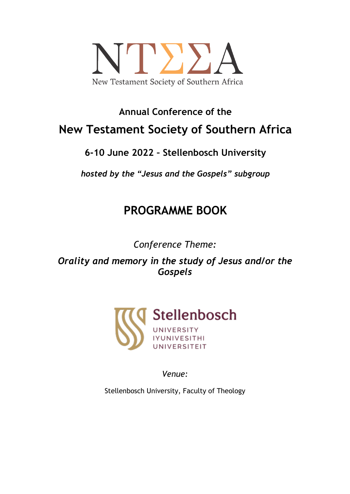

# **Annual Conference of the New Testament Society of Southern Africa**

# **6-10 June 2022 – Stellenbosch University**

*hosted by the "Jesus and the Gospels" subgroup*

# **PROGRAMME BOOK**

*Conference Theme:*

*Orality and memory in the study of Jesus and/or the Gospels*



*Venue:*

Stellenbosch University, Faculty of Theology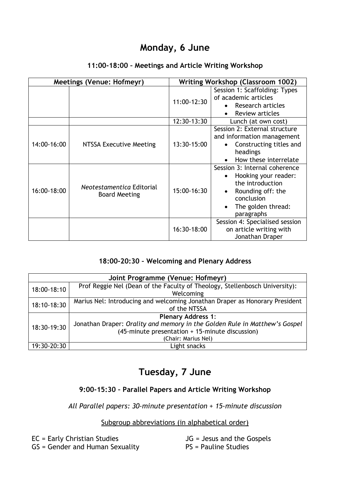## **Monday, 6 June**

| <b>Meetings (Venue: Hofmeyr)</b> |                                                   | <b>Writing Workshop (Classroom 1002)</b> |                                                                                                                                                  |
|----------------------------------|---------------------------------------------------|------------------------------------------|--------------------------------------------------------------------------------------------------------------------------------------------------|
|                                  |                                                   | 11:00-12:30                              | Session 1: Scaffolding: Types<br>of academic articles<br>• Research articles<br>Review articles                                                  |
|                                  |                                                   | 12:30-13:30                              | Lunch (at own cost)                                                                                                                              |
| 14:00-16:00                      | NTSSA Executive Meeting                           | 13:30-15:00                              | Session 2: External structure<br>and information management<br>Constructing titles and<br>headings<br>How these interrelate                      |
| 16:00-18:00                      | Neotestamentica Editorial<br><b>Board Meeting</b> | 15:00-16:30                              | Session 3: Internal coherence<br>Hooking your reader:<br>the introduction<br>Rounding off: the<br>conclusion<br>The golden thread:<br>paragraphs |
|                                  |                                                   | 16:30-18:00                              | Session 4: Specialised session<br>on article writing with<br>Jonathan Draper                                                                     |

#### **11:00-18:00 – Meetings and Article Writing Workshop**

#### **18:00-20:30 – Welcoming and Plenary Address**

| Joint Programme (Venue: Hofmeyr) |                                                                             |  |
|----------------------------------|-----------------------------------------------------------------------------|--|
| 18:00-18:10                      | Prof Reggie Nel (Dean of the Faculty of Theology, Stellenbosch University): |  |
|                                  | Welcoming                                                                   |  |
| 18:10-18:30                      | Marius Nel: Introducing and welcoming Jonathan Draper as Honorary President |  |
|                                  | of the NTSSA                                                                |  |
|                                  | <b>Plenary Address 1:</b>                                                   |  |
| 18:30-19:30                      | Jonathan Draper: Orality and memory in the Golden Rule in Matthew's Gospel  |  |
|                                  | (45-minute presentation + 15-minute discussion)                             |  |
|                                  | (Chair: Marius Nel)                                                         |  |
| 19:30-20:30                      | Light snacks                                                                |  |

# **Tuesday, 7 June**

### **9:00-15:30 – Parallel Papers and Article Writing Workshop**

*All Parallel papers: 30-minute presentation + 15-minute discussion*

#### Subgroup abbreviations (in alphabetical order)

| EC = Early Christian Studies    | $JG =$ Jesus and the Gospels |
|---------------------------------|------------------------------|
| GS = Gender and Human Sexuality | PS = Pauline Studies         |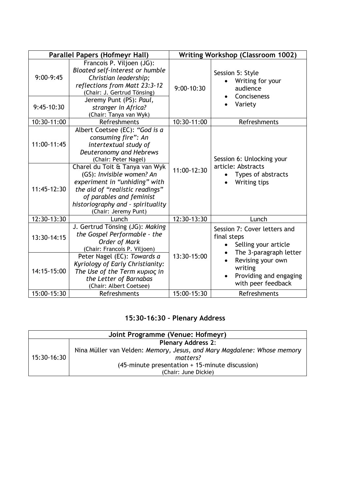|                             | Parallel Papers (Hofmeyr Hall)                                                                                                                                                                                                                                                                                                                                |                            | <b>Writing Workshop (Classroom 1002)</b>                                                      |
|-----------------------------|---------------------------------------------------------------------------------------------------------------------------------------------------------------------------------------------------------------------------------------------------------------------------------------------------------------------------------------------------------------|----------------------------|-----------------------------------------------------------------------------------------------|
| $9:00-9:45$<br>$9:45-10:30$ | Francois P. Viljoen (JG):<br>Bloated self-interest or humble<br>Christian leadership;<br>reflections from Matt 23:3-12<br>(Chair: J. Gertrud Tönsing)<br>Jeremy Punt (PS): Paul,<br>stranger in Africa?<br>(Chair: Tanya van Wyk)                                                                                                                             | $9:00-10:30$               | Session 5: Style<br>Writing for your<br>audience<br>Conciseness<br>Variety                    |
| 10:30-11:00                 | Refreshments                                                                                                                                                                                                                                                                                                                                                  | 10:30-11:00                | Refreshments                                                                                  |
| 11:00-11:45<br>11:45-12:30  | Albert Coetsee (EC): "God is a<br>consuming fire": An<br>intertextual study of<br>Deuteronomy and Hebrews<br>(Chair: Peter Nagel)<br>Charel du Toit & Tanya van Wyk<br>(GS): Invisible women? An<br>experiment in "unhiding" with<br>the aid of "realistic readings"<br>of parables and feminist<br>historiography and - spirituality<br>(Chair: Jeremy Punt) | 11:00-12:30                | Session 6: Unlocking your<br>article: Abstracts<br>Types of abstracts<br>Writing tips         |
| 12:30-13:30                 | Lunch                                                                                                                                                                                                                                                                                                                                                         | 12:30-13:30                | Lunch                                                                                         |
| 13:30-14:15                 | J. Gertrud Tönsing (JG): Making<br>the Gospel Performable - the<br>Order of Mark<br>(Chair: Francois P. Viljoen)                                                                                                                                                                                                                                              | 13:30-15:00<br>15:00-15:30 | Session 7: Cover letters and<br>final steps<br>Selling your article<br>The 3-paragraph letter |
| 14:15-15:00<br>15:00-15:30  | Peter Nagel (EC): Towards a<br>Kyriology of Early Christianity:<br>The Use of the Term κυριος in<br>the Letter of Barnabas<br>(Chair: Albert Coetsee)<br>Refreshments                                                                                                                                                                                         |                            | Revising your own<br>writing<br>Providing and engaging<br>with peer feedback<br>Refreshments  |

## **15:30-16:30 – Plenary Address**

| Joint Programme (Venue: Hofmeyr) |                                                                         |  |
|----------------------------------|-------------------------------------------------------------------------|--|
|                                  | <b>Plenary Address 2:</b>                                               |  |
| 15:30-16:30                      | Nina Müller van Velden: Memory, Jesus, and Mary Magdalene: Whose memory |  |
|                                  | matters?                                                                |  |
|                                  | (45-minute presentation + 15-minute discussion)                         |  |
|                                  | (Chair: June Dickie)                                                    |  |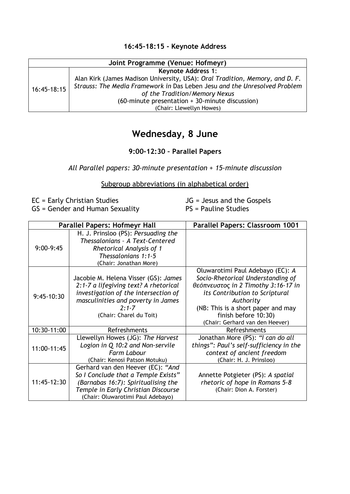#### **16:45-18:15 - Keynote Address**

| Joint Programme (Venue: Hofmeyr) |                                                                              |  |
|----------------------------------|------------------------------------------------------------------------------|--|
|                                  | <b>Keynote Address 1:</b>                                                    |  |
| 16:45-18:15                      | Alan Kirk (James Madison University, USA): Oral Tradition, Memory, and D. F. |  |
|                                  | Strauss: The Media Framework in Das Leben Jesu and the Unresolved Problem    |  |
|                                  | of the Tradition/Memory Nexus                                                |  |
|                                  | (60-minute presentation + 30-minute discussion)                              |  |
|                                  | (Chair: Llewellyn Howes)                                                     |  |

# **Wednesday, 8 June**

#### **9:00-12:30 – Parallel Papers**

*All Parallel papers: 30-minute presentation + 15-minute discussion*

Subgroup abbreviations (in alphabetical order)

EC = Early Christian Studies GS = Gender and Human Sexuality JG = Jesus and the Gospels PS = Pauline Studies

| <b>Parallel Papers: Hofmeyr Hall</b> |                                                                                                                                                                                                     | Parallel Papers: Classroom 1001                                                                                                                                                                                                                              |
|--------------------------------------|-----------------------------------------------------------------------------------------------------------------------------------------------------------------------------------------------------|--------------------------------------------------------------------------------------------------------------------------------------------------------------------------------------------------------------------------------------------------------------|
| $9:00-9:45$                          | H. J. Prinsloo (PS): Persuading the<br>Thessalonians - A Text-Centered<br><b>Rhetorical Analysis of 1</b><br>Thessalonians 1:1-5<br>(Chair: Jonathan More)                                          |                                                                                                                                                                                                                                                              |
| 9:45-10:30                           | Jacobie M. Helena Visser (GS): James<br>2:1-7 a lifegiving text? A rhetorical<br>investigation of the intersection of<br>masculinities and poverty in James<br>$2:1 - 7$<br>(Chair: Charel du Toit) | Oluwarotimi Paul Adebayo (EC): A<br>Socio-Rhetorical Understanding of<br>θεόπνευστος in 2 Timothy 3:16-17 in<br>its Contribution to Scriptural<br>Authority<br>(NB: This is a short paper and may<br>finish before 10:30)<br>(Chair: Gerhard van den Heever) |
| 10:30-11:00                          | Refreshments                                                                                                                                                                                        | Refreshments                                                                                                                                                                                                                                                 |
| 11:00-11:45                          | Llewellyn Howes (JG): The Harvest<br>Logion in Q 10:2 and Non-servile<br>Farm Labour<br>(Chair: Kenosi Patson Motuku)                                                                               | Jonathan More (PS): "I can do all<br>things": Paul's self-sufficiency in the<br>context of ancient freedom<br>(Chair: H. J. Prinsloo)                                                                                                                        |
| 11:45-12:30                          | Gerhard van den Heever (EC): "And<br>So I Conclude that a Temple Exists"<br>(Barnabas 16:7): Spiritualising the<br>Temple in Early Christian Discourse<br>(Chair: Oluwarotimi Paul Adebayo)         | Annette Potgieter (PS): A spatial<br>rhetoric of hope in Romans 5-8<br>(Chair: Dion A. Forster)                                                                                                                                                              |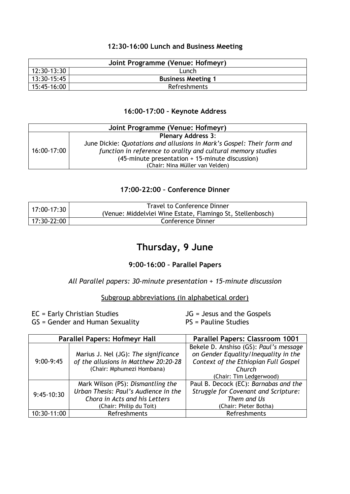#### **12:30-16:00 Lunch and Business Meeting**

| Joint Programme (Venue: Hofmeyr) |                         |  |
|----------------------------------|-------------------------|--|
| 12:30-13:30<br>Lunch             |                         |  |
| 13:30-15:45                      | <b>Business Meeting</b> |  |
| 15:45-16:00                      | Refreshments            |  |

#### **16:00-17:00 – Keynote Address**

| Joint Programme (Venue: Hofmeyr) |                                                                        |  |
|----------------------------------|------------------------------------------------------------------------|--|
| <b>Plenary Address 3:</b>        |                                                                        |  |
| 16:00-17:00                      | June Dickie: Quotations and allusions in Mark's Gospel: Their form and |  |
|                                  | function in reference to orality and cultural memory studies           |  |
|                                  | (45-minute presentation + 15-minute discussion)                        |  |
|                                  | (Chair: Nina Müller van Velden)                                        |  |

#### **17:00-22:00 – Conference Dinner**

| $17:00-17:30$ | <b>Travel to Conference Dinner</b>                         |  |
|---------------|------------------------------------------------------------|--|
|               | (Venue: Middelvlei Wine Estate, Flamingo St, Stellenbosch) |  |
| l 17:30-22:00 | Conference Dinner                                          |  |

## **Thursday, 9 June**

#### **9:00-16:00 – Parallel Papers**

#### *All Parallel papers: 30-minute presentation + 15-minute discussion*

#### Subgroup abbreviations (in alphabetical order)

EC = Early Christian Studies GS = Gender and Human Sexuality JG = Jesus and the Gospels PS = Pauline Studies

| <b>Parallel Papers: Hofmeyr Hall</b> |                                      | Parallel Papers: Classroom 1001        |
|--------------------------------------|--------------------------------------|----------------------------------------|
|                                      |                                      | Bekele D. Anshiso (GS): Paul's message |
|                                      | Marius J. Nel (JG): The significance | on Gender Equality/Inequality in the   |
| $9:00-9:45$                          | of the allusions in Matthew 20:20-28 | Context of the Ethiopian Full Gospel   |
|                                      | (Chair: Mphumezi Hombana)            | Church                                 |
|                                      |                                      | (Chair: Tim Ledgerwood)                |
| $9:45-10:30$                         | Mark Wilson (PS): Dismantling the    | Paul B. Decock (EC): Barnabas and the  |
|                                      | Urban Thesis: Paul's Audience in the | Struggle for Covenant and Scripture:   |
|                                      | Chora in Acts and his Letters        | Them and Us                            |
|                                      | (Chair: Philip du Toit)              | (Chair: Pieter Botha)                  |
| 10:30-11:00                          | Refreshments                         | Refreshments                           |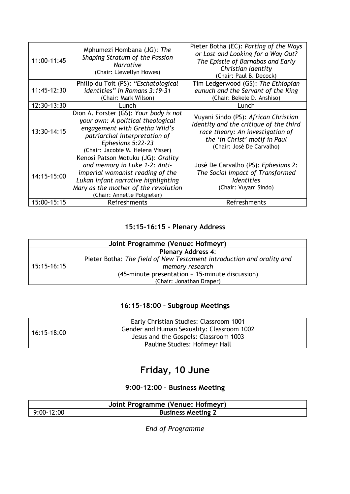| 11:00-11:45 | Mphumezi Hombana (JG): The<br>Shaping Stratum of the Passion<br><b>Narrative</b><br>(Chair: Llewellyn Howes)                                                                                                         | Pieter Botha (EC): Parting of the Ways<br>or Lost and Looking for a Way Out?<br>The Epistle of Barnabas and Early<br>Christian Identity<br>(Chair: Paul B. Decock)               |
|-------------|----------------------------------------------------------------------------------------------------------------------------------------------------------------------------------------------------------------------|----------------------------------------------------------------------------------------------------------------------------------------------------------------------------------|
| 11:45-12:30 | Philip du Toit (PS): "Eschatological<br>identities" in Romans 3:19-31<br>(Chair: Mark Wilson)                                                                                                                        | Tim Ledgerwood (GS): The Ethiopian<br>eunuch and the Servant of the King<br>(Chair: Bekele D. Anshiso)                                                                           |
| 12:30-13:30 | Lunch                                                                                                                                                                                                                | Lunch                                                                                                                                                                            |
| 13:30-14:15 | Dion A. Forster (GS): Your body is not<br>your own: A political theological<br>engagement with Gretha Wiid's<br>patriarchal interpretation of<br>Ephesians 5:22-23<br>(Chair: Jacobie M. Helena Visser)              | Vuyani Sindo (PS): African Christian<br>Identity and the critique of the third<br>race theory: An investigation of<br>the 'in Christ' motif in Paul<br>(Chair: José De Carvalho) |
| 14:15-15:00 | Kenosi Patson Motuku (JG): Orality<br>and memory in Luke 1-2: Anti-<br>imperial womanist reading of the<br>Lukan infant narrative highlighting<br>Mary as the mother of the revolution<br>(Chair: Annette Potgieter) | José De Carvalho (PS): Ephesians 2:<br>The Social Impact of Transformed<br><i><u><b>Identities</b></u></i><br>(Chair: Vuyani Sindo)                                              |
| 15:00-15:15 | Refreshments                                                                                                                                                                                                         | Refreshments                                                                                                                                                                     |

### **15:15-16:15 - Plenary Address**

| Joint Programme (Venue: Hofmeyr) |                                                                       |  |
|----------------------------------|-----------------------------------------------------------------------|--|
| 15:15-16:15                      | <b>Plenary Address 4:</b>                                             |  |
|                                  | Pieter Botha: The field of New Testament introduction and orality and |  |
|                                  | memory research                                                       |  |
|                                  | (45-minute presentation + 15-minute discussion)                       |  |
|                                  | (Chair: Jonathan Draper)                                              |  |

### **16:15-18:00 – Subgroup Meetings**

| 16:15-18:00 | Early Christian Studies: Classroom 1001    |
|-------------|--------------------------------------------|
|             | Gender and Human Sexuality: Classroom 1002 |
|             | Jesus and the Gospels: Classroom 1003      |
|             | Pauline Studies: Hofmeyr Hall              |

# **Friday, 10 June**

### **9:00-12:00 – Business Meeting**

|                                           | Joint Programme (Venue: Hofmeyr) |
|-------------------------------------------|----------------------------------|
| $9:00-12:00$<br><b>Business Meeting 2</b> |                                  |

*End of Programme*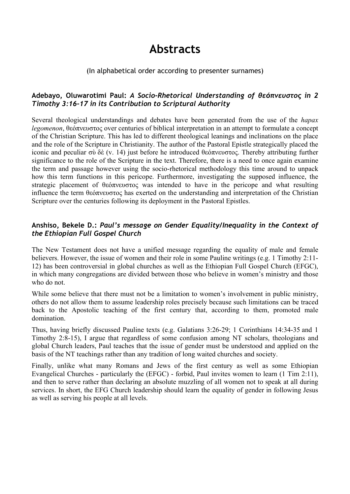# **Abstracts**

#### (In alphabetical order according to presenter surnames)

#### **Adebayo, Oluwarotimi Paul:** *A Socio-Rhetorical Understanding of θεόπνευστος in 2 Timothy 3:16-17 in its Contribution to Scriptural Authority*

Several theological understandings and debates have been generated from the use of the *hapax legomenon*, θεόπνευστος over centuries of biblical interpretation in an attempt to formulate a concept of the Christian Scripture. This has led to different theological leanings and inclinations on the place and the role of the Scripture in Christianity. The author of the Pastoral Epistle strategically placed the iconic and peculiar σὺ δὲ (v. 14) just before he introduced θεόπνευστος. Thereby attributing further significance to the role of the Scripture in the text. Therefore, there is a need to once again examine the term and passage however using the socio-rhetorical methodology this time around to unpack how this term functions in this pericope. Furthermore, investigating the supposed influence, the strategic placement of θεόπνευστος was intended to have in the pericope and what resulting influence the term θεόπνευστος has exerted on the understanding and interpretation of the Christian Scripture over the centuries following its deployment in the Pastoral Epistles.

#### **Anshiso, Bekele D.:** *Paul's message on Gender Equality/Inequality in the Context of the Ethiopian Full Gospel Church*

The New Testament does not have a unified message regarding the equality of male and female believers. However, the issue of women and their role in some Pauline writings (e.g. 1 Timothy 2:11- 12) has been controversial in global churches as well as the Ethiopian Full Gospel Church (EFGC), in which many congregations are divided between those who believe in women's ministry and those who do not.

While some believe that there must not be a limitation to women's involvement in public ministry, others do not allow them to assume leadership roles precisely because such limitations can be traced back to the Apostolic teaching of the first century that, according to them, promoted male domination.

Thus, having briefly discussed Pauline texts (e.g. Galatians 3:26-29; 1 Corinthians 14:34-35 and 1 Timothy 2:8-15), I argue that regardless of some confusion among NT scholars, theologians and global Church leaders, Paul teaches that the issue of gender must be understood and applied on the basis of the NT teachings rather than any tradition of long waited churches and society.

Finally, unlike what many Romans and Jews of the first century as well as some Ethiopian Evangelical Churches - particularly the (EFGC) - forbid, Paul invites women to learn (1 Tim 2:11), and then to serve rather than declaring an absolute muzzling of all women not to speak at all during services. In short, the EFG Church leadership should learn the equality of gender in following Jesus as well as serving his people at all levels.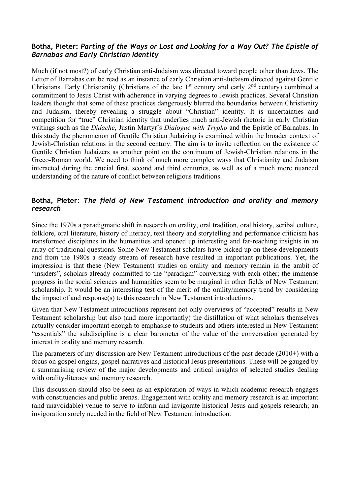#### **Botha, Pieter:** *Parting of the Ways or Lost and Looking for a Way Out? The Epistle of Barnabas and Early Christian Identity*

Much (if not most?) of early Christian anti-Judaism was directed toward people other than Jews. The Letter of Barnabas can be read as an instance of early Christian anti-Judaism directed against Gentile Christians. Early Christianity (Christians of the late 1<sup>st</sup> century and early  $2<sup>nd</sup>$  century) combined a commitment to Jesus Christ with adherence in varying degrees to Jewish practices. Several Christian leaders thought that some of these practices dangerously blurred the boundaries between Christianity and Judaism, thereby revealing a struggle about "Christian" identity. It is uncertainties and competition for "true" Christian identity that underlies much anti-Jewish rhetoric in early Christian writings such as the *Didache*, Justin Martyr's *Dialogue with Trypho* and the Epistle of Barnabas. In this study the phenomenon of Gentile Christian Judaizing is examined within the broader context of Jewish-Christian relations in the second century. The aim is to invite reflection on the existence of Gentile Christian Judaizers as another point on the continuum of Jewish-Christian relations in the Greco-Roman world. We need to think of much more complex ways that Christianity and Judaism interacted during the crucial first, second and third centuries, as well as of a much more nuanced understanding of the nature of conflict between religious traditions.

#### **Botha, Pieter:** *The field of New Testament introduction and orality and memory research*

Since the 1970s a paradigmatic shift in research on orality, oral tradition, oral history, scribal culture, folklore, oral literature, history of literacy, text theory and storytelling and performance criticism has transformed disciplines in the humanities and opened up interesting and far-reaching insights in an array of traditional questions. Some New Testament scholars have picked up on these developments and from the 1980s a steady stream of research have resulted in important publications. Yet, the impression is that these (New Testament) studies on orality and memory remain in the ambit of "insiders", scholars already committed to the "paradigm" conversing with each other; the immense progress in the social sciences and humanities seem to be marginal in other fields of New Testament scholarship. It would be an interesting test of the merit of the orality/memory trend by considering the impact of and response(s) to this research in New Testament introductions.

Given that New Testament introductions represent not only overviews of "accepted" results in New Testament scholarship but also (and more importantly) the distillation of what scholars themselves actually consider important enough to emphasise to students and others interested in New Testament "essentials" the subdiscipline is a clear barometer of the value of the conversation generated by interest in orality and memory research.

The parameters of my discussion are New Testament introductions of the past decade (2010+) with a focus on gospel origins, gospel narratives and historical Jesus presentations. These will be gauged by a summarising review of the major developments and critical insights of selected studies dealing with orality-literacy and memory research.

This discussion should also be seen as an exploration of ways in which academic research engages with constituencies and public arenas. Engagement with orality and memory research is an important (and unavoidable) venue to serve to inform and invigorate historical Jesus and gospels research; an invigoration sorely needed in the field of New Testament introduction.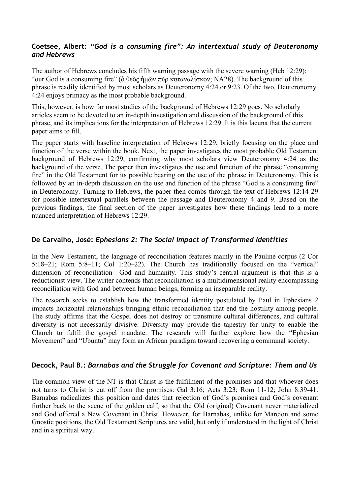#### **Coetsee, Albert:** *"God is a consuming fire": An intertextual study of Deuteronomy and Hebrews*

The author of Hebrews concludes his fifth warning passage with the severe warning (Heb 12:29): "our God is a consuming fire" (ὁ θεὸς ἡμῶν πῦρ καταναλίσκον; NA28). The background of this phrase is readily identified by most scholars as Deuteronomy 4:24 or 9:23. Of the two, Deuteronomy 4:24 enjoys primacy as the most probable background.

This, however, is how far most studies of the background of Hebrews 12:29 goes. No scholarly articles seem to be devoted to an in-depth investigation and discussion of the background of this phrase, and its implications for the interpretation of Hebrews 12:29. It is this lacuna that the current paper aims to fill.

The paper starts with baseline interpretation of Hebrews 12:29, briefly focusing on the place and function of the verse within the book. Next, the paper investigates the most probable Old Testament background of Hebrews 12:29, confirming why most scholars view Deuteronomy 4:24 as the background of the verse. The paper then investigates the use and function of the phrase "consuming fire" in the Old Testament for its possible bearing on the use of the phrase in Deuteronomy. This is followed by an in-depth discussion on the use and function of the phrase "God is a consuming fire" in Deuteronomy. Turning to Hebrews, the paper then combs through the text of Hebrews 12:14-29 for possible intertextual parallels between the passage and Deuteronomy 4 and 9. Based on the previous findings, the final section of the paper investigates how these findings lead to a more nuanced interpretation of Hebrews 12:29.

#### **De Carvalho, José:** *Ephesians 2: The Social Impact of Transformed Identities*

In the New Testament, the language of reconciliation features mainly in the Pauline corpus (2 Cor 5:18–21; Rom 5:8–11; Col 1:20–22). The Church has traditionally focused on the "vertical" dimension of reconciliation—God and humanity. This study's central argument is that this is a reductionist view. The writer contends that reconciliation is a multidimensional reality encompassing reconciliation with God and between human beings, forming an inseparable reality.

The research seeks to establish how the transformed identity postulated by Paul in Ephesians 2 impacts horizontal relationships bringing ethnic reconciliation that end the hostility among people. The study affirms that the Gospel does not destroy or transmute cultural differences, and cultural diversity is not necessarily divisive. Diversity may provide the tapestry for unity to enable the Church to fulfil the gospel mandate. The research will further explore how the "Ephesian Movement" and "Ubuntu" may form an African paradigm toward recovering a communal society.

#### **Decock, Paul B.:** *Barnabas and the Struggle for Covenant and Scripture: Them and Us*

The common view of the NT is that Christ is the fulfilment of the promises and that whoever does not turns to Christ is cut off from the promises: Gal 3:16; Acts 3:23; Rom 11-12; John 8:39-41. Barnabas radicalizes this position and dates that rejection of God's promises and God's covenant further back to the scene of the golden calf, so that the Old (original) Covenant never materialized and God offered a New Covenant in Christ. However, for Barnabas, unlike for Marcion and some Gnostic positions, the Old Testament Scriptures are valid, but only if understood in the light of Christ and in a spiritual way.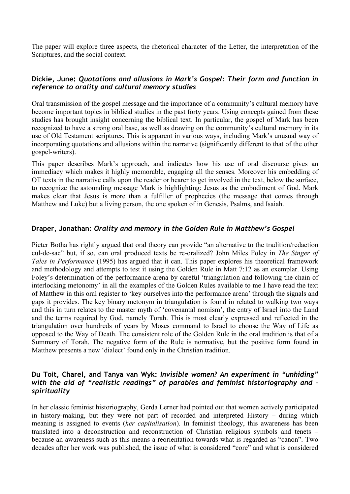The paper will explore three aspects, the rhetorical character of the Letter, the interpretation of the Scriptures, and the social context.

#### **Dickie, June:** *Quotations and allusions in Mark's Gospel: Their form and function in reference to orality and cultural memory studies*

Oral transmission of the gospel message and the importance of a community's cultural memory have become important topics in biblical studies in the past forty years. Using concepts gained from these studies has brought insight concerning the biblical text. In particular, the gospel of Mark has been recognized to have a strong oral base, as well as drawing on the community's cultural memory in its use of Old Testament scriptures. This is apparent in various ways, including Mark's unusual way of incorporating quotations and allusions within the narrative (significantly different to that of the other gospel-writers).

This paper describes Mark's approach, and indicates how his use of oral discourse gives an immediacy which makes it highly memorable, engaging all the senses. Moreover his embedding of OT texts in the narrative calls upon the reader or hearer to get involved in the text, below the surface, to recognize the astounding message Mark is highlighting: Jesus as the embodiment of God. Mark makes clear that Jesus is more than a fulfiller of prophecies (the message that comes through Matthew and Luke) but a living person, the one spoken of in Genesis, Psalms, and Isaiah.

#### **Draper, Jonathan:** *Orality and memory in the Golden Rule in Matthew's Gospel*

Pieter Botha has rightly argued that oral theory can provide "an alternative to the tradition/redaction cul-de-sac" but, if so, can oral produced texts be re-oralized? John Miles Foley in *The Singer of Tales in Performance* (1995) has argued that it can. This paper explores his theoretical framework and methodology and attempts to test it using the Golden Rule in Matt 7:12 as an exemplar. Using Foley's determination of the performance arena by careful 'triangulation and following the chain of interlocking metonomy' in all the examples of the Golden Rules available to me I have read the text of Matthew in this oral register to 'key ourselves into the performance arena' through the signals and gaps it provides. The key binary metonym in triangulation is found in related to walking two ways and this in turn relates to the master myth of 'covenantal nomism', the entry of Israel into the Land and the terms required by God, namely Torah. This is most clearly expressed and reflected in the triangulation over hundreds of years by Moses command to Israel to choose the Way of Life as opposed to the Way of Death. The consistent role of the Golden Rule in the oral tradition is that of a Summary of Torah. The negative form of the Rule is normative, but the positive form found in Matthew presents a new 'dialect' found only in the Christian tradition.

#### **Du Toit, Charel, and Tanya van Wyk:** *Invisible women? An experiment in "unhiding" with the aid of "realistic readings" of parables and feminist historiography and – spirituality*

In her classic feminist historiography, Gerda Lerner had pointed out that women actively participated in history-making, but they were not part of recorded and interpreted History – during which meaning is assigned to events (*her capitalisation*). In feminist theology, this awareness has been translated into a deconstruction and reconstruction of Christian religious symbols and tenets – because an awareness such as this means a reorientation towards what is regarded as "canon". Two decades after her work was published, the issue of what is considered "core" and what is considered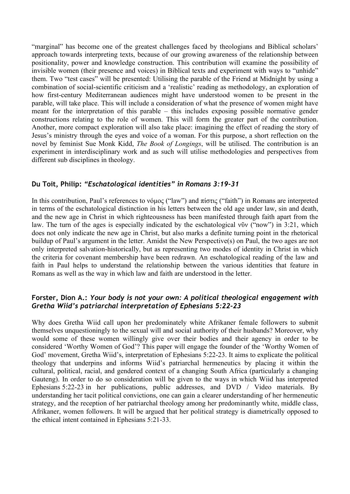"marginal" has become one of the greatest challenges faced by theologians and Biblical scholars' approach towards interpreting texts, because of our growing awareness of the relationship between positionality, power and knowledge construction. This contribution will examine the possibility of invisible women (their presence and voices) in Biblical texts and experiment with ways to "unhide" them. Two "test cases" will be presented: Utilising the parable of the Friend at Midnight by using a combination of social-scientific criticism and a 'realistic' reading as methodology, an exploration of how first-century Mediterranean audiences might have understood women to be present in the parable, will take place. This will include a consideration of what the presence of women might have meant for the interpretation of this parable – this includes exposing possible normative gender constructions relating to the role of women. This will form the greater part of the contribution. Another, more compact exploration will also take place: imagining the effect of reading the story of Jesus's ministry through the eyes and voice of a woman. For this purpose, a short reflection on the novel by feminist Sue Monk Kidd, *The Book of Longings*, will be utilised. The contribution is an experiment in interdisciplinary work and as such will utilise methodologies and perspectives from different sub disciplines in theology.

#### **Du Toit, Philip:** *"Eschatological identities" in Romans 3:19-31*

In this contribution, Paul's references to νόμος ("law") and πίστις ("faith") in Romans are interpreted in terms of the eschatological distinction in his letters between the old age under law, sin and death, and the new age in Christ in which righteousness has been manifested through faith apart from the law. The turn of the ages is especially indicated by the eschatological νῦν ("now") in 3:21, which does not only indicate the new age in Christ, but also marks a definite turning point in the rhetorical buildup of Paul's argument in the letter. Amidst the New Perspective(s) on Paul, the two ages are not only interpreted salvation-historically, but as representing two modes of identity in Christ in which the criteria for covenant membership have been redrawn. An eschatological reading of the law and faith in Paul helps to understand the relationship between the various identities that feature in Romans as well as the way in which law and faith are understood in the letter.

#### **Forster, Dion A.:** *Your body is not your own: A political theological engagement with Gretha Wiid's patriarchal interpretation of Ephesians 5:22-23*

Why does Gretha Wiid call upon her predominately white Afrikaner female followers to submit themselves unquestioningly to the sexual will and social authority of their husbands? Moreover, why would some of these women willingly give over their bodies and their agency in order to be considered 'Worthy Women of God'? This paper will engage the founder of the 'Worthy Women of God' movement, Gretha Wiid's, interpretation of Ephesians 5:22-23. It aims to explicate the political theology that underpins and informs Wiid's patriarchal hermeneutics by placing it within the cultural, political, racial, and gendered context of a changing South Africa (particularly a changing Gauteng). In order to do so consideration will be given to the ways in which Wiid has interpreted Ephesians 5:22-23 in her publications, public addresses, and DVD / Video materials. By understanding her tacit political convictions, one can gain a clearer understanding of her hermeneutic strategy, and the reception of her patriarchal theology among her predominantly white, middle class, Afrikaner, women followers. It will be argued that her political strategy is diametrically opposed to the ethical intent contained in Ephesians 5:21-33.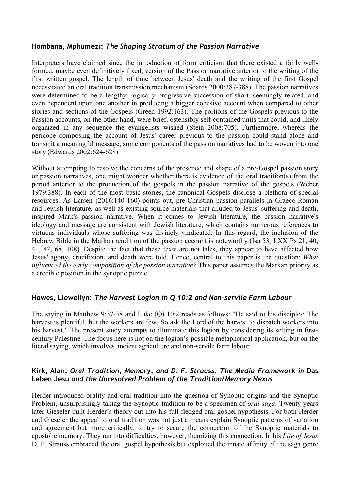#### **Hombana, Mphumezi:** *The Shaping Stratum of the Passion Narrative*

Interpreters have claimed since the introduction of form criticism that there existed a fairly wellformed, maybe even definitively fixed, version of the Passion narrative anterior to the writing of the first written gospel. The length of time between Jesus' death and the writing of the first Gospel necessitated an oral tradition transmission mechanism (Soards 2000:387-388). The passion narratives were determined to be a lengthy, logically progressive succession of short, seemingly related, and even dependent upon one another in producing a bigger cohesive account when compared to other stories and sections of the Gospels (Green 1992:163). The portions of the Gospels previous to the Passion accounts, on the other hand, were brief, ostensibly self-contained units that could, and likely organized in any sequence the evangelists wished (Stein 2008:705). Furthermore, whereas the pericope composing the account of Jesus' career previous to the passion could stand alone and transmit a meaningful message, some components of the passion narratives had to be woven into one story (Edwards 2002:624-628).

Without attempting to resolve the concerns of the presence and shape of a pre-Gospel passion story or passion narratives, one might wonder whether there is evidence of the oral tradition(s) from the period anterior to the production of the gospels in the passion narrative of the gospels (Weber 1979:388). In each of the most basic stories, the canonical Gospels disclose a plethora of special resources. As Larsen (2016:140-160) points out, pre-Christian passion parallels in Graeco-Roman and Jewish literature, as well as existing source materials that alluded to Jesus' suffering and death, inspired Mark's passion narrative. When it comes to Jewish literature, the passion narrative's ideology and message are consistent with Jewish literature, which contains numerous references to virtuous individuals whose suffering was divinely vindicated. In this regard, the inclusion of the Hebrew Bible in the Markan rendition of the passion account is noteworthy (Isa 53; LXX Ps 21, 40, 41, 42, 68, 108). Despite the fact that these texts are not tales, they appear to have affected how Jesus' agony, crucifixion, and death were told. Hence, central to this paper is the question: *What influenced the early composition of the passion narrative?* This paper assumes the Markan priority as a credible position in the synoptic puzzle.

#### **Howes, Llewellyn:** *The Harvest Logion in Q 10:2 and Non-servile Farm Labour*

The saying in Matthew 9:37-38 and Luke (Q) 10:2 reads as follows: "He said to his disciples: The harvest is plentiful, but the workers are few. So ask the Lord of the harvest to dispatch workers into his harvest." The present study attempts to illuminate this logion by considering its setting in firstcentury Palestine. The focus here is not on the logion's possible metaphorical application, but on the literal saying, which involves ancient agriculture and non-servile farm labour.

#### **Kirk, Alan:** *Oral Tradition, Memory, and D. F. Strauss: The Media Framework in* **Das Leben Jesu** *and the Unresolved Problem of the Tradition/Memory Nexus*

Herder introduced orality and oral tradition into the question of Synoptic origins and the Synoptic Problem, unsurprisingly taking the Synoptic tradition to be a specimen of *oral saga*. Twenty years later Gieseler built Herder's theory out into his full-fledged oral gospel hypothesis. For both Herder and Gieseler the appeal to oral tradition was not just a means explain Synoptic patterns of variation and agreement but more critically, to try to secure the connection of the Synoptic materials to apostolic memory. They ran into difficulties, however, theorizing this connection. In his *Life of Jesus*  D. F. Strauss embraced the oral gospel hypothesis but exploited the innate affinity of the saga genre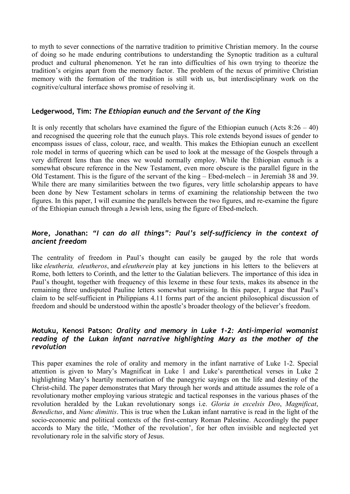to myth to sever connections of the narrative tradition to primitive Christian memory. In the course of doing so he made enduring contributions to understanding the Synoptic tradition as a cultural product and cultural phenomenon. Yet he ran into difficulties of his own trying to theorize the tradition's origins apart from the memory factor. The problem of the nexus of primitive Christian memory with the formation of the tradition is still with us, but interdisciplinary work on the cognitive/cultural interface shows promise of resolving it.

#### **Ledgerwood, Tim:** *The Ethiopian eunuch and the Servant of the King*

It is only recently that scholars have examined the figure of the Ethiopian eunuch (Acts  $8:26 - 40$ ) and recognised the queering role that the eunuch plays. This role extends beyond issues of gender to encompass issues of class, colour, race, and wealth. This makes the Ethiopian eunuch an excellent role model in terms of queering which can be used to look at the message of the Gospels through a very different lens than the ones we would normally employ. While the Ethiopian eunuch is a somewhat obscure reference in the New Testament, even more obscure is the parallel figure in the Old Testament. This is the figure of the servant of the king – Ebed-melech – in Jeremiah 38 and 39. While there are many similarities between the two figures, very little scholarship appears to have been done by New Testament scholars in terms of examining the relationship between the two figures. In this paper, I will examine the parallels between the two figures, and re-examine the figure of the Ethiopian eunuch through a Jewish lens, using the figure of Ebed-melech.

#### **More, Jonathan:** *"I can do all things": Paul's self-sufficiency in the context of ancient freedom*

The centrality of freedom in Paul's thought can easily be gauged by the role that words like *eleutheria, eleutheros*, and *eleutherein* play at key junctions in his letters to the believers at Rome, both letters to Corinth, and the letter to the Galatian believers. The importance of this idea in Paul's thought, together with frequency of this lexeme in these four texts, makes its absence in the remaining three undisputed Pauline letters somewhat surprising. In this paper, I argue that Paul's claim to be self-sufficient in Philippians 4.11 forms part of the ancient philosophical discussion of freedom and should be understood within the apostle's broader theology of the believer's freedom.

#### **Motuku, Kenosi Patson:** *Orality and memory in Luke 1-2: Anti-imperial womanist reading of the Lukan infant narrative highlighting Mary as the mother of the revolution*

This paper examines the role of orality and memory in the infant narrative of Luke 1-2. Special attention is given to Mary's Magnificat in Luke 1 and Luke's parenthetical verses in Luke 2 highlighting Mary's heartily memorisation of the panegyric sayings on the life and destiny of the Christ-child. The paper demonstrates that Mary through her words and attitude assumes the role of a revolutionary mother employing various strategic and tactical responses in the various phases of the revolution heralded by the Lukan revolutionary songs i.e. *Gloria in excelsis Deo*, *Magnificat*, *Benedictus*, and *Nunc dimittis*. This is true when the Lukan infant narrative is read in the light of the socio-economic and political contexts of the first-century Roman Palestine. Accordingly the paper accords to Mary the title, 'Mother of the revolution', for her often invisible and neglected yet revolutionary role in the salvific story of Jesus.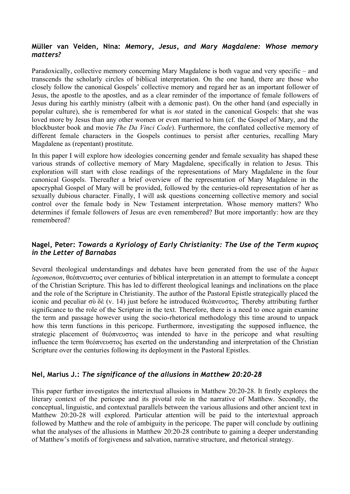#### **Müller van Velden, Nina:** *Memory, Jesus, and Mary Magdalene: Whose memory matters?*

Paradoxically, collective memory concerning Mary Magdalene is both vague and very specific – and transcends the scholarly circles of biblical interpretation. On the one hand, there are those who closely follow the canonical Gospels' collective memory and regard her as an important follower of Jesus, the apostle to the apostles, and as a clear reminder of the importance of female followers of Jesus during his earthly ministry (albeit with a demonic past). On the other hand (and especially in popular culture), she is remembered for what is *not* stated in the canonical Gospels: that she was loved more by Jesus than any other women or even married to him (cf. the Gospel of Mary, and the blockbuster book and movie *The Da Vinci Code*). Furthermore, the conflated collective memory of different female characters in the Gospels continues to persist after centuries, recalling Mary Magdalene as (repentant) prostitute.

In this paper I will explore how ideologies concerning gender and female sexuality has shaped these various strands of collective memory of Mary Magdalene, specifically in relation to Jesus. This exploration will start with close readings of the representations of Mary Magdalene in the four canonical Gospels. Thereafter a brief overview of the representation of Mary Magdalene in the apocryphal Gospel of Mary will be provided, followed by the centuries-old representation of her as sexually dubious character. Finally, I will ask questions concerning collective memory and social control over the female body in New Testament interpretation. Whose memory matters? Who determines if female followers of Jesus are even remembered? But more importantly: how are they remembered?

#### **Nagel, Peter:** *Towards a Kyriology of Early Christianity: The Use of the Term κυριος in the Letter of Barnabas*

Several theological understandings and debates have been generated from the use of the *hapax legomenon*, θεόπνευστος over centuries of biblical interpretation in an attempt to formulate a concept of the Christian Scripture. This has led to different theological leanings and inclinations on the place and the role of the Scripture in Christianity. The author of the Pastoral Epistle strategically placed the iconic and peculiar σὺ δὲ (v. 14) just before he introduced θεόπνευστος. Thereby attributing further significance to the role of the Scripture in the text. Therefore, there is a need to once again examine the term and passage however using the socio-rhetorical methodology this time around to unpack how this term functions in this pericope. Furthermore, investigating the supposed influence, the strategic placement of θεόπνευστος was intended to have in the pericope and what resulting influence the term θεόπνευστος has exerted on the understanding and interpretation of the Christian Scripture over the centuries following its deployment in the Pastoral Epistles.

#### **Nel, Marius J.:** *The significance of the allusions in Matthew 20:20-28*

This paper further investigates the intertextual allusions in Matthew 20:20-28. It firstly explores the literary context of the pericope and its pivotal role in the narrative of Matthew. Secondly, the conceptual, linguistic, and contextual parallels between the various allusions and other ancient text in Matthew 20:20-28 will explored. Particular attention will be paid to the intertextual approach followed by Matthew and the role of ambiguity in the pericope. The paper will conclude by outlining what the analyses of the allusions in Matthew 20:20-28 contribute to gaining a deeper understanding of Matthew's motifs of forgiveness and salvation, narrative structure, and rhetorical strategy.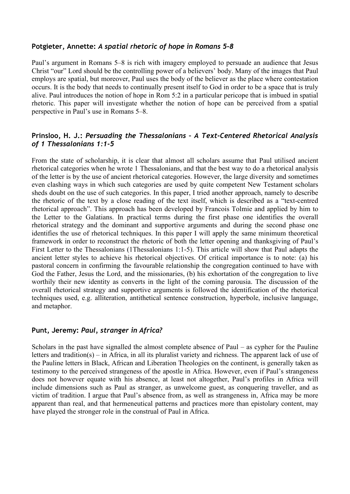#### **Potgieter, Annette:** *A spatial rhetoric of hope in Romans 5-8*

Paul's argument in Romans 5–8 is rich with imagery employed to persuade an audience that Jesus Christ "our" Lord should be the controlling power of a believers' body. Many of the images that Paul employs are spatial, but moreover, Paul uses the body of the believer as the place where contestation occurs. It is the body that needs to continually present itself to God in order to be a space that is truly alive. Paul introduces the notion of hope in Rom 5:2 in a particular pericope that is imbued in spatial rhetoric. This paper will investigate whether the notion of hope can be perceived from a spatial perspective in Paul's use in Romans 5–8.

#### **Prinsloo, H. J.:** *Persuading the Thessalonians – A Text-Centered Rhetorical Analysis of 1 Thessalonians 1:1-5*

From the state of scholarship, it is clear that almost all scholars assume that Paul utilised ancient rhetorical categories when he wrote 1 Thessalonians, and that the best way to do a rhetorical analysis of the letter is by the use of ancient rhetorical categories. However, the large diversity and sometimes even clashing ways in which such categories are used by quite competent New Testament scholars sheds doubt on the use of such categories. In this paper, I tried another approach, namely to describe the rhetoric of the text by a close reading of the text itself, which is described as a "text-centred rhetorical approach". This approach has been developed by Francois Tolmie and applied by him to the Letter to the Galatians. In practical terms during the first phase one identifies the overall rhetorical strategy and the dominant and supportive arguments and during the second phase one identifies the use of rhetorical techniques. In this paper I will apply the same minimum theoretical framework in order to reconstruct the rhetoric of both the letter opening and thanksgiving of Paul's First Letter to the Thessalonians (1Thessalonians 1:1-5). This article will show that Paul adapts the ancient letter styles to achieve his rhetorical objectives. Of critical importance is to note: (a) his pastoral concern in confirming the favourable relationship the congregation continued to have with God the Father, Jesus the Lord, and the missionaries, (b) his exhortation of the congregation to live worthily their new identity as converts in the light of the coming parousia. The discussion of the overall rhetorical strategy and supportive arguments is followed the identification of the rhetorical techniques used, e.g. alliteration, antithetical sentence construction, hyperbole, inclusive language, and metaphor.

#### **Punt, Jeremy:** *Paul, stranger in Africa?*

Scholars in the past have signalled the almost complete absence of Paul – as cypher for the Pauline letters and tradition(s) – in Africa, in all its pluralist variety and richness. The apparent lack of use of the Pauline letters in Black, African and Liberation Theologies on the continent, is generally taken as testimony to the perceived strangeness of the apostle in Africa. However, even if Paul's strangeness does not however equate with his absence, at least not altogether, Paul's profiles in Africa will include dimensions such as Paul as stranger, as unwelcome guest, as conquering traveller, and as victim of tradition. I argue that Paul's absence from, as well as strangeness in, Africa may be more apparent than real, and that hermeneutical patterns and practices more than epistolary content, may have played the stronger role in the construal of Paul in Africa.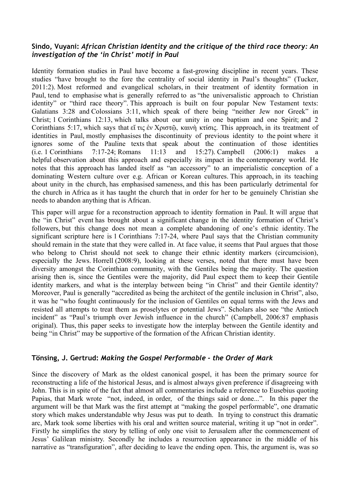#### **Sindo, Vuyani:** *African Christian Identity and the critique of the third race theory: An investigation of the 'in Christ' motif in Paul*

Identity formation studies in Paul have become a fast-growing discipline in recent years. These studies "have brought to the fore the centrality of social identity in Paul's thoughts" (Tucker, 2011:2). Most reformed and evangelical scholars, in their treatment of identity formation in Paul, tend to emphasise what is generally referred to as "the universalistic approach to Christian identity" or "third race theory". This approach is built on four popular New Testament texts: Galatians 3:28 and Colossians 3:11, which speak of there being "neither Jew nor Greek" in Christ; 1 Corinthians 12:13, which talks about our unity in one baptism and one Spirit; and 2 Corinthians 5:17, which says that εἴ τις ἐν Χριστῷ, καινὴ κτίσις. This approach, in its treatment of identities in Paul, mostly emphasises the discontinuity of previous identity to the point where it ignores some of the Pauline texts that speak about the continuation of those identities (i.e. 1 Corinthians 7:17-24; Romans 11:13 and 15:27). Campbell (2006:1) makes a helpful observation about this approach and especially its impact in the contemporary world. He notes that this approach has landed itself as "an accessory" to an imperialistic conception of a dominating Western culture over e.g. African or Korean cultures. This approach, in its teaching about unity in the church, has emphasised sameness, and this has been particularly detrimental for the church in Africa as it has taught the church that in order for her to be genuinely Christian she needs to abandon anything that is African.

This paper will argue for a reconstruction approach to identity formation in Paul. It will argue that the "in Christ" event has brought about a significant change in the identity formation of Christ's followers, but this change does not mean a complete abandoning of one's ethnic identity. The significant scripture here is 1 Corinthians 7:17-24, where Paul says that the Christian community should remain in the state that they were called in. At face value, it seems that Paul argues that those who belong to Christ should not seek to change their ethnic identity markers (circumcision), especially the Jews. Horrell (2008:9), looking at these verses, noted that there must have been diversity amongst the Corinthian community, with the Gentiles being the majority. The question arising then is, since the Gentiles were the majority, did Paul expect them to keep their Gentile identity markers, and what is the interplay between being "in Christ" and their Gentile identity? Moreover, Paul is generally "accredited as being the architect of the gentile inclusion in Christ", also, it was he "who fought continuously for the inclusion of Gentiles on equal terms with the Jews and resisted all attempts to treat them as proselytes or potential Jews". Scholars also see "the Antioch incident" as "Paul's triumph over Jewish influence in the church" (Campbell, 2006:87 emphasis original). Thus, this paper seeks to investigate how the interplay between the Gentile identity and being "in Christ" may be supportive of the formation of the African Christian identity.

#### **Tönsing, J. Gertrud:** *Making the Gospel Performable - the Order of Mark*

Since the discovery of Mark as the oldest canonical gospel, it has been the primary source for reconstructing a life of the historical Jesus, and is almost always given preference if disagreeing with John. This is in spite of the fact that almost all commentaries include a reference to Eusebius quoting Papias, that Mark wrote "not, indeed, in order, of the things said or done...". In this paper the argument will be that Mark was the first attempt at "making the gospel performable", one dramatic story which makes understandable why Jesus was put to death. In trying to construct this dramatic arc, Mark took some liberties with his oral and written source material, writing it up "not in order". Firstly he simplifies the story by telling of only one visit to Jerusalem after the commencement of Jesus' Galilean ministry. Secondly he includes a resurrection appearance in the middle of his narrative as "transfiguration", after deciding to leave the ending open. This, the argument is, was so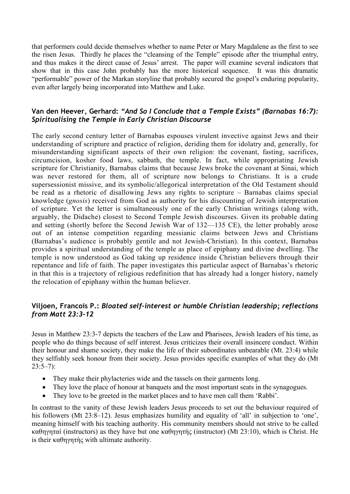that performers could decide themselves whether to name Peter or Mary Magdalene as the first to see the risen Jesus. Thirdly he places the "cleansing of the Temple" episode after the triumphal entry, and thus makes it the direct cause of Jesus' arrest. The paper will examine several indicators that show that in this case John probably has the more historical sequence. It was this dramatic "performable" power of the Markan storyline that probably secured the gospel's enduring popularity, even after largely being incorporated into Matthew and Luke.

#### **Van den Heever, Gerhard:** *"And So I Conclude that a Temple Exists" (Barnabas 16:7): Spiritualising the Temple in Early Christian Discourse*

The early second century letter of Barnabas espouses virulent invective against Jews and their understanding of scripture and practice of religion, deriding them for idolatry and, generally, for misunderstanding significant aspects of their own religion: the covenant, fasting, sacrifices, circumcision, kosher food laws, sabbath, the temple. In fact, while appropriating Jewish scripture for Christianity, Barnabas claims that because Jews broke the covenant at Sinai, which was never restored for them, all of scripture now belongs to Christians. It is a crude supersessionist missive, and its symbolic/allegorical interpretation of the Old Testament should be read as a rhetoric of disallowing Jews any rights to scripture – Barnabas claims special knowledge (*gnosis*) received from God as authority for his discounting of Jewish interpretation of scripture. Yet the letter is simultaneously one of the early Christian writings (along with, arguably, the Didache) closest to Second Temple Jewish discourses. Given its probable dating and setting (shortly before the Second Jewish War of 132—135 CE), the letter probably arose out of an intense competition regarding messianic claims between Jews and Christians (Barnabas's audience is probably gentile and not Jewish-Christian). In this context, Barnabas provides a spiritual understanding of the temple as place of epiphany and divine dwelling. The temple is now understood as God taking up residence inside Christian believers through their repentance and life of faith. The paper investigates this particular aspect of Barnabas's rhetoric in that this is a trajectory of religious redefinition that has already had a longer history, namely the relocation of epiphany within the human believer.

#### **Viljoen, Francois P.:** *Bloated self-interest or humble Christian leadership; reflections from Matt 23:3-12*

Jesus in Matthew 23:3-7 depicts the teachers of the Law and Pharisees, Jewish leaders of his time, as people who do things because of self interest. Jesus criticizes their overall insincere conduct. Within their honour and shame society, they make the life of their subordinates unbearable (Mt. 23:4) while they selfishly seek honour from their society. Jesus provides specific examples of what they do (Mt  $23:5-7$ :

- They make their phylacteries wide and the tassels on their garments long.
- They love the place of honour at banquets and the most important seats in the synagogues.
- They love to be greeted in the market places and to have men call them 'Rabbi'.

In contrast to the vanity of these Jewish leaders Jesus proceeds to set out the behaviour required of his followers (Mt 23:8–12). Jesus emphasizes humility and equality of 'all' in subjection to 'one', meaning himself with his teaching authority. His community members should not strive to be called καθηγηταί (instructors) as they have but one καθηγητὴς (instructor) (Mt 23:10), which is Christ. He is their καθηγητής with ultimate authority.